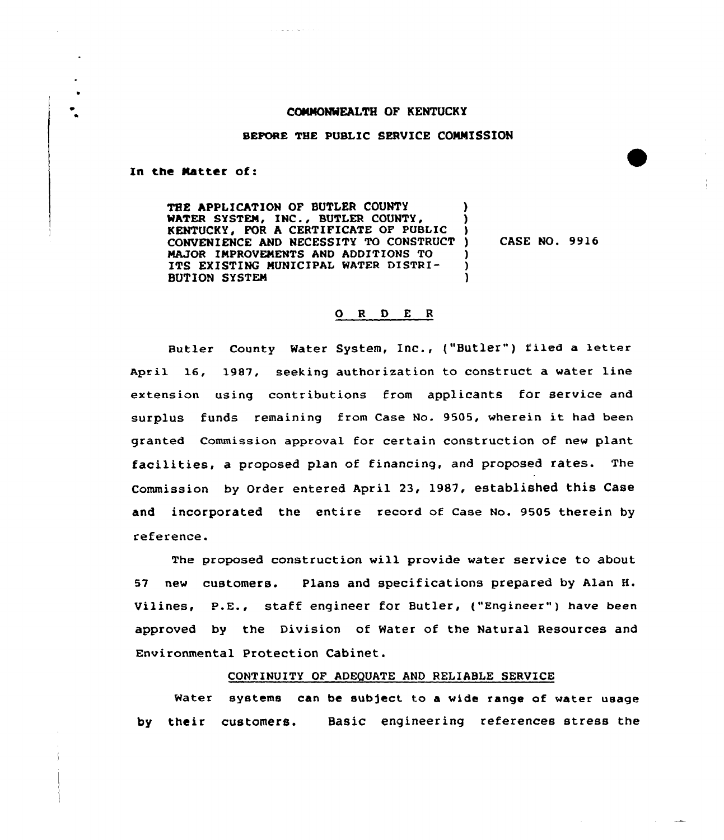## COMMONWEALTH OF KENTUCKY

### BEFORE THE PUBLIC SERVICE COMMISSION

In the Natter of:

THE APPLICATION OF BUTLER COUNTY WATER SYSTEM, INC., BUTLER COUNTY, (1)<br>KENTUCKY. POR A CERTIFICATE OF PUBLIC KENTUCKY, FOR <sup>A</sup> CERTIFICATE OP PUBLIC ) CONVENIENCE AND NECESSITY TO CONSTRUCT ) MAJOR IMPROVEMENTS AND ADDITIONS TO  $\left( \begin{array}{cc} 0 & 1 \end{array} \right)$ <br>ITS EXISTING MUNICIPAL WATER DISTRI-ITS EXISTING MUNICIPAL WATER DISTRI-<br>BUTION SYSTEM BUTION SYSTEN )

**The annual control** 

CASE NO. 9916

# 0 <sup>R</sup> <sup>D</sup> E <sup>R</sup>

Butler County Water System, Inc., ("Butler") filed a letter April 16, 1987, seeking authorization to construct a water line extension using contributions from applicants for service and surplus funds remaining from Case No. 9505, wherein it had been granted Commission approval for certain construction of new plant facilities, <sup>a</sup> proposed plan of financing, and proposed rates. The Commission by Order entered April 23, 19S7, established this Case and incorporated the entire record of Case No. 9505 therein by reference.

The proposed construction will provide water service to about 5I new customers. Plans and specifications prepared by Alan H. Vilines, P.E., staff engineer for Butler, ("Engineer") have been approved by the Division of Water of the Natural Resources and Environmental Protection Cabinet.

#### CONTINUITY OF ADEQUATE AND RELIABLE SERVICE

Water systems can be subject to a wide range of water usage by their customers. Basic engineering references stress the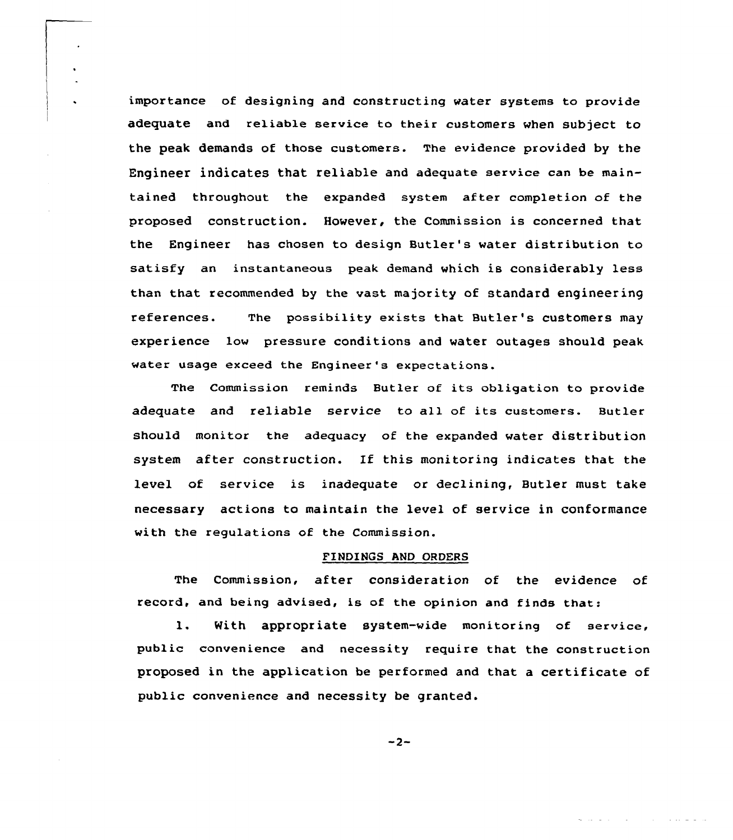importance of designing and constructing water systems to provide adequate and re1iab1e service to their customers when subject to the peak demands of those customers. The evidence provided by the Engineer indicates that reliable and adequate service can be maintained throughout the expanded system after completion of the proposed construction. However, the Commission is concerned that the Engineer has chosen to design Butler's water distribution to satisfy an instantaneous peak demand which is considerably less than that recommended by the vast majority of standard engineering references. The possibility exists that Butler's customers may experience low pressure conditions and water outages should peak water usage exceed the Engineer's expectations.

 $\ddot{\phantom{a}}$ 

The Commission reminds Butler of its obligation to provide adequate and reliable service to all of its customers. Butler should monitor the adequacy of the expanded water distribution system after construction. If this monitoring indicates that the level of service is inadequate or declining, Butler must take necessary actions to maintain the level of service in conformance with the regulations of the Commission.

### FINDINGS AND ORDERS

The Commission, after consideration of the evidence of record, and being advised, is of the opinion and finds that:

l. With appropriate system-wide monitoring of service, public convenience and necessity require that the construction proposed in the application be performed and that a certificate of public convenience and necessity be granted.

 $-2-$ 

in a che della carta

and the company of the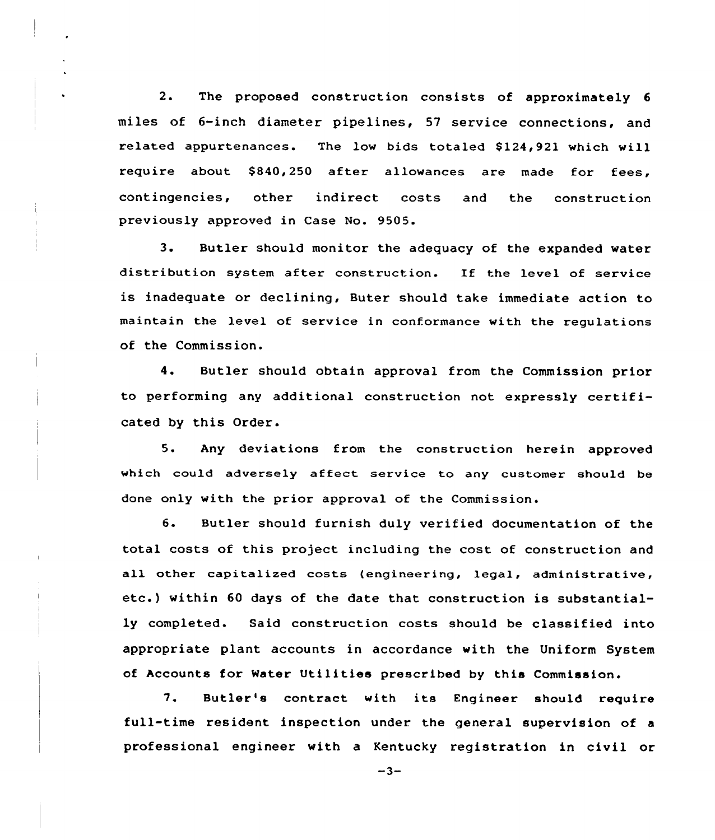2. The proposed construction consists of approximately <sup>6</sup> miles of 6-inch diameter pipelines, 57 service connections, and related appurtenances. The low bids totaled \$124,921 which will require about \$ 840,250 after allowances are made for fees, contingencies, other indirect costs and the construction previously approved in Case No. 9505.

3. Butler should monitor the adequacy of the expanded water distribution system after construction. If the level of service is inadequate or declining, Buter should take immediate action to maintain the level of service in conformance with the regulations of the Commission.

4. Butler should obtain approval from the Commission prior to performing any additional construction not expressly certificated by this Order.

5. Any deviations from the construction herein approved which could adversely affect service to any customer should be done only with the prior approval of the Commission.

6. Butler should furnish duly verified documentation of the total costs of this project including the cost of construction and all other capitalized costs (engineering, legal, administrative, etc.) within <sup>60</sup> days of the date that construction is substantially completed. Said construction costs should be classified into appropriate plant accounts in accordance with the Uniform System of Accounts for Mater Utilities prescribed by this Commission.

7. Butler's contract with its Engineer should require full-time resident inspection under. the general supervision of a professional engineer with a Kentucky registration in civil or

 $-3-$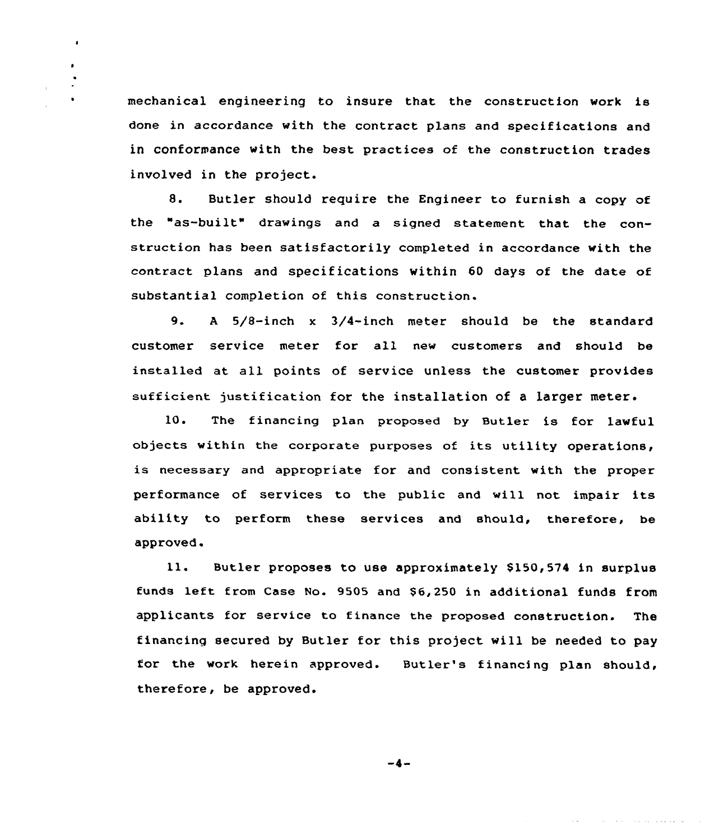mechanical engineering to insure that the construction work is done in accordance with the contract plans and specifications and in conformance with the best practices of the construction trades involved in the project.

 $\blacksquare$ 

8. Butler should require the Engineer to furnish a copy of the "as-built" drawings and <sup>a</sup> signed statement that the construction has been satisfactorily completed in accordance with the contract plans and specifications within 60 days of the date of substantial completion of this construction.

9. <sup>A</sup> 5/8-inch <sup>x</sup> 3/4-inch meter should be the standard customer service meter for all new customers and should be installed at all points of service unless the customer provides sufficient justification for the installation of a larger meter.

10. The financing plan proposed by Butler is for lawful objects within the corporate purposes of its utility operations, is necessary and appropriate for and consistent with the proper performance of services to the public and will not impair its ability to perform these services and should, therefore, be approved.

11. Butler proposes to use approximately \$150,574 in surplus funds left from Case No. 9505 and \$6,250 in additional funds from applicants for service to finance the proposed construction. The financing secured by Butler for this project will be needed to pay for the work herein approved. Butler's financing plan should, therefore, be approved.

 $-4-$